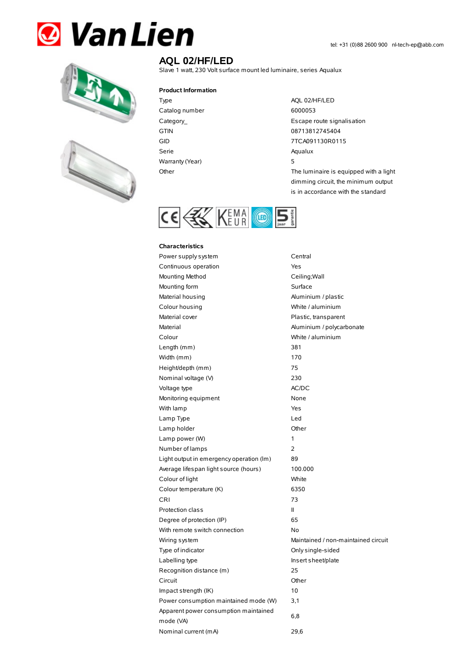## **& Van Lien**





## **AQL 02/HF/LED**

Slave 1 watt, 230 Volt surface mount led luminaire, series Aqualux

## **Product Information**

Type AQL 02/HF/LED Catalog number 6000053 Serie Aqualux Warranty (Year) 5

Category\_ example and the control of the Escape route signalisation GTIN 08713812745404 GID 7TCA091130R0115 Other The luminaire is equipped with a light dimming circuit, the minimum output

is in accordance with the standard

CE & KEMA O 5

## **Characteristics**

| Power supply system                      | Central                             |
|------------------------------------------|-------------------------------------|
| Continuous operation                     | Yes                                 |
| Mounting Method                          | Ceiling; Wall                       |
| Mounting form                            | Surface                             |
| Material housing                         | Aluminium / plastic                 |
| Colour housing                           | White / aluminium                   |
| Material cover                           | Plastic, transparent                |
| Material                                 | Aluminium / polycarbonate           |
| Colour                                   | White / aluminium                   |
| Length (mm)                              | 381                                 |
| Width (mm)                               | 170                                 |
| Height/depth (mm)                        | 75                                  |
| Nominal voltage (V)                      | 230                                 |
| Voltage type                             | AC/DC                               |
| Monitoring equipment                     | None                                |
| With lamp                                | Yes                                 |
| Lamp Type                                | Led                                 |
| Lamp holder                              | Other                               |
| Lamp power (W)                           | 1                                   |
| Number of lamps                          | $\overline{2}$                      |
| Light output in emergency operation (lm) | 89                                  |
| Average lifespan light source (hours)    | 100.000                             |
| Colour of light                          | White                               |
| Colour temperature (K)                   | 6350                                |
| <b>CRI</b>                               | 73                                  |
| Protection class                         | $\mathsf{II}$                       |
| Degree of protection (IP)                | 65                                  |
| With remote switch connection            | No                                  |
| Wiring system                            | Maintained / non-maintained circuit |
| Type of indicator                        | Only single-sided                   |
| Labelling type                           | Insert sheet/plate                  |
| Recognition distance (m)                 | 25                                  |
| Circuit                                  | Other                               |
| Impact strength (IK)                     | 10                                  |
| Power consumption maintained mode (W)    | 3,1                                 |
| Apparent power consumption maintained    |                                     |
| mode (VA)                                | 6,8                                 |
| Nominal current (mA)                     | 29,6                                |